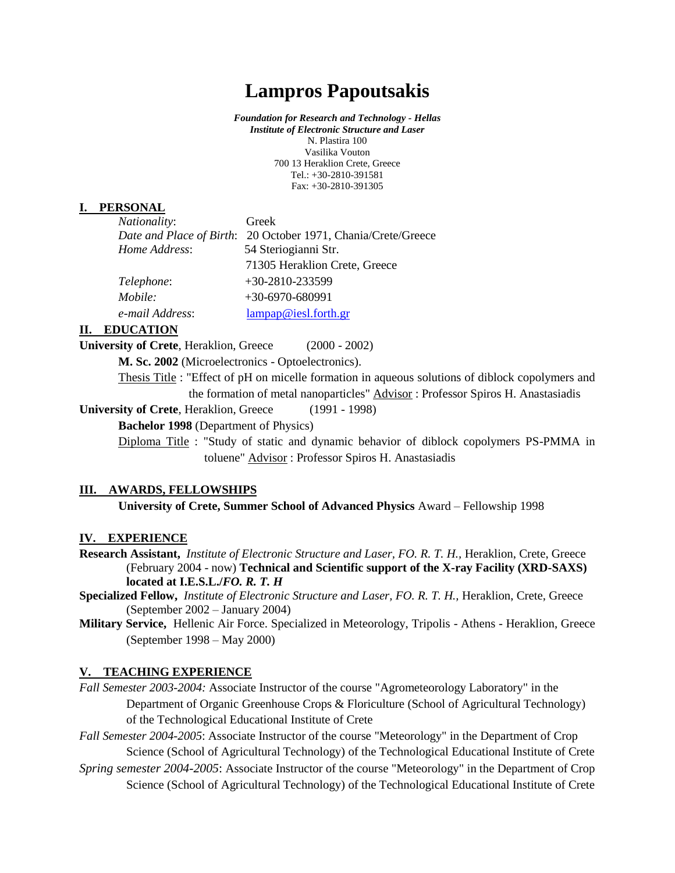# **Lampros Papoutsakis**

*Foundation for Research and Technology - Hellas Institute of Electronic Structure and Laser* N. Plastira 100 Vasilika Vouton 700 13 Heraklion Crete, Greece Tel.: +30-2810-391581 Fax: +30-2810-391305

#### **I. PERSONAL**

| Nationality:    | Greek                                                         |
|-----------------|---------------------------------------------------------------|
|                 | Date and Place of Birth: 20 October 1971, Chania/Crete/Greece |
| Home Address:   | 54 Steriogianni Str.                                          |
|                 | 71305 Heraklion Crete, Greece                                 |
| Telephone:      | $+30-2810-233599$                                             |
| Mobile:         | $+30-6970-680991$                                             |
| e-mail Address: | lampap@iesl.forth.gr                                          |

#### **II. EDUCATION**

**University of Crete**, Heraklion, Greece (2000 - 2002)

**M. Sc. 2002** (Microelectronics - Optoelectronics).

Thesis Title : "Effect of pH on micelle formation in aqueous solutions of diblock copolymers and the formation of metal nanoparticles" Advisor : Professor Spiros H. Anastasiadis

**University of Crete**, Heraklion, Greece (1991 - 1998)

**Bachelor 1998** (Department of Physics)

Diploma Title : "Study of static and dynamic behavior of diblock copolymers PS-PMMA in toluene" Advisor : Professor Spiros H. Anastasiadis

### **III. AWARDS, FELLOWSHIPS**

**University of Crete, Summer School of Advanced Physics** Award – Fellowship 1998

#### **IV. EXPERIENCE**

- **Research Assistant,** *Institute of Electronic Structure and Laser, FO. R. T. H.,* Heraklion, Crete, Greece (February 2004 - now) **Technical and Scientific support of the X-ray Facility (XRD-SAXS) located at I.E.S.L./***FO. R. T. H*
- **Specialized Fellow,** *Institute of Electronic Structure and Laser, FO. R. T. H.,* Heraklion, Crete, Greece (September 2002 – January 2004)
- **Military Service,** Hellenic Air Force. Specialized in Meteorology, Tripolis Athens Heraklion, Greece (September 1998 – May 2000)

## **V. TEACHING EXPERIENCE**

*Fall Semester 2003-2004:* Associate Instructor of the course "Agrometeorology Laboratory" in the Department of Organic Greenhouse Crops & Floriculture (School of Agricultural Technology) of the Technological Educational Institute of Crete

*Fall Semester 2004-2005*: Associate Instructor of the course "Meteorology" in the Department of Crop Science (School of Agricultural Technology) of the Technological Educational Institute of Crete

*Spring semester 2004-2005*: Associate Instructor of the course "Meteorology" in the Department of Crop Science (School of Agricultural Technology) of the Technological Educational Institute of Crete